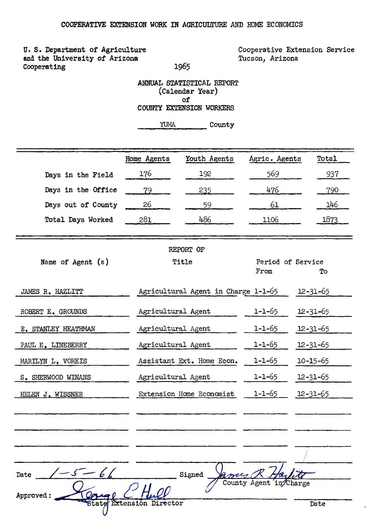1965

U.S. Department of Agriculture and the University of Arizona Cooperating

Cooperative Extension Service Tucson, Arizona

## ANNUAL STATISTICAL REPORT (Calendar Year) of COUNTY EXTENSION WORKERS

YUMA County

|                     | Home Agents               | Youth Agents                        | Agric. Agents             | Total          |
|---------------------|---------------------------|-------------------------------------|---------------------------|----------------|
| Days in the Field   | 176                       | 192                                 | 569                       | 937            |
| Days in the Office  | 79                        | 235                                 | 476                       | 790            |
| Days out of County  | 26                        | 59                                  | 61                        | 146            |
| Total Days Worked   | 281                       | 486                                 | 1106                      | 1873           |
|                     |                           | REPORT OF                           |                           |                |
| Name of Agent $(s)$ |                           | Title                               | Period of Service<br>From | Tо             |
| JAMES R. HAZLITT    |                           | Agricultural Agent in Charge 1-1-65 |                           | $12 - 31 - 65$ |
| ROBERT E. GROUNDS   | Agricultural Agent        |                                     | $1 - 1 - 65$              | $12 - 31 - 65$ |
| E. STANLEY HEATHMAN | Agricultural Agent        |                                     | $1 - 1 - 65$              | $12 - 31 - 65$ |
| PAUL E. LINEBERRY   | Agricultural Agent        |                                     | $1 - 1 - 65$              | $12 - 31 - 65$ |
| MARILYN L. VOREIS   |                           | Assistant Ext. Home Econ.           | $1 - 1 - 65$              | $10 - 15 - 65$ |
| S. SHERWOOD WINANS  | Agricultural Agent        |                                     | $1 - 1 - 65$              | $12 - 31 - 65$ |
| HELEN J. WISSNER    |                           | Extension Home Economist            | $1 - 1 - 65$              | $12 - 31 - 65$ |
|                     |                           |                                     |                           |                |
|                     |                           |                                     |                           |                |
|                     |                           |                                     |                           |                |
| $-5 - 61$<br>Date   |                           | Signed                              | County Agent<br>harge     |                |
| Approved:           |                           |                                     |                           |                |
|                     | <b>Extensión Director</b> |                                     |                           | Date           |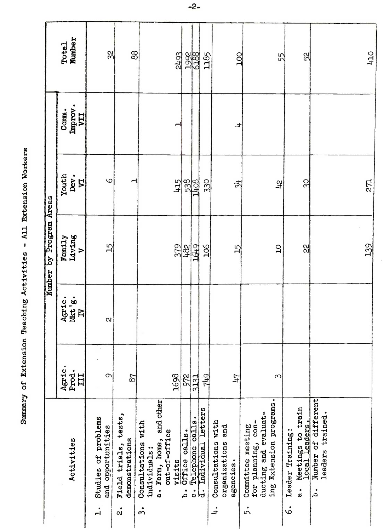|                         | Number<br>Total                       | 32                                                       | 88                                             |                                                 |                                           | 2493   |                                                                  | 1992<br>6188 | 1185               |                                                                      | 201        | 55                                                                                               |                       | 52                                                         |                                                   | 0Th |
|-------------------------|---------------------------------------|----------------------------------------------------------|------------------------------------------------|-------------------------------------------------|-------------------------------------------|--------|------------------------------------------------------------------|--------------|--------------------|----------------------------------------------------------------------|------------|--------------------------------------------------------------------------------------------------|-----------------------|------------------------------------------------------------|---------------------------------------------------|-----|
|                         | Improv.<br>Comm.<br>IIA               |                                                          |                                                |                                                 |                                           |        |                                                                  |              |                    |                                                                      | ᅿ          |                                                                                                  |                       |                                                            |                                                   |     |
|                         | Youth<br>Dev.<br>$\tilde{\mathbf{z}}$ | $\circ$                                                  |                                                |                                                 |                                           | 415    |                                                                  | 538          | 330                |                                                                      | $\ddot{ }$ | $\mathfrak{F}$                                                                                   |                       | 30                                                         |                                                   | 271 |
| Number by Program Areas | Family<br>Living<br>$\triangleright$  | $\overline{15}$                                          |                                                |                                                 |                                           | 379    | 182                                                              |              | $\frac{106}{1}$    |                                                                      | 15         | $\overline{C}$                                                                                   |                       | 22                                                         |                                                   | 139 |
|                         | Agric.<br>Mkt'g.<br>$\overline{B}$    | $\alpha$                                                 |                                                |                                                 |                                           |        |                                                                  |              |                    |                                                                      |            |                                                                                                  |                       |                                                            |                                                   |     |
|                         | Agric.<br>Prod.<br>III                | $\sigma$                                                 | 87                                             |                                                 |                                           | 1698   | 972                                                              | 3131         | 749                |                                                                      | 74         | S                                                                                                |                       |                                                            |                                                   |     |
|                         | Activities                            | Studies of problems<br>and opportunities<br>$\mathbf{I}$ | tests,<br>demonstrations<br>Field trials,<br>å | Consultations with<br>individuals:<br>$\dot{5}$ | a. Farm, home, and other<br>out-of-office | visits | Office calls.<br>Telephone calls.<br>Individual letter<br>.<br>م | ပ            | letters<br>نے<br>ا | with<br>and<br>Consultations<br>organizations<br>agencies.<br>$\div$ |            | ing Extension programs.<br>ducting and evaluat-<br>for planning, con-<br>Committee meeting<br>5. | Leader Training:<br>ė | Meetings to train<br>1ocal leaders.<br>$\ddot{\mathbf{a}}$ | Number of different<br>leaders trained.<br>.<br>م |     |

 $-2-$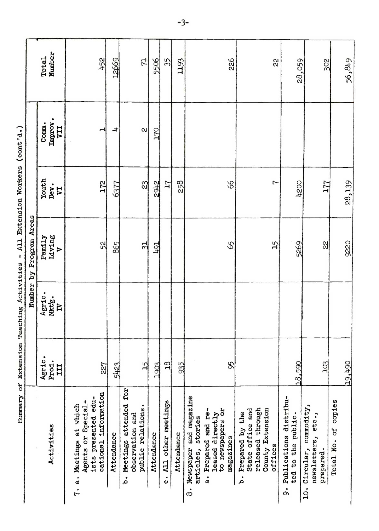|                                                                                                                                                       |                        | Number                | Program Areas<br>$\mathbf{z}_{\mathbf{q}}$ |                                 |                                |                 |
|-------------------------------------------------------------------------------------------------------------------------------------------------------|------------------------|-----------------------|--------------------------------------------|---------------------------------|--------------------------------|-----------------|
| Activities                                                                                                                                            | Agric.<br>Prod.<br>III | Agric.<br>Mkt'g.<br>Ħ | Living<br>Family<br>$\triangleright$       | Youth<br>Dev.<br>5 <sup>2</sup> | Improv.<br>Comm.<br><b>LIA</b> | Number<br>Total |
| cational information<br>ists presented edu-<br>Agents or Special-<br>Meetings at which<br>$\dot{\vec{a}}$<br>$\mathbf{r}$                             | 227                    |                       | 52                                         | 172                             | H                              | 452             |
| Attendance                                                                                                                                            | 5423                   |                       | 865                                        | 6377                            | $\overline{a}$                 | 12669           |
| b. Meetings attended for<br>public relations.<br>observation and                                                                                      | $\frac{5}{2}$          |                       | 워                                          | $\mathbb{C}$                    | S.                             | 5               |
| Attendance                                                                                                                                            | 1903                   |                       | 191                                        | 2942                            | <b>DZT</b>                     | 5506            |
| All other meetings<br>ပံ                                                                                                                              | $\frac{18}{2}$         |                       |                                            | 71                              |                                | 35              |
| Attendance                                                                                                                                            | 935                    |                       |                                            | 258                             |                                | 1193            |
| Newspaper and magazine<br>leased directly<br>to newspapers or<br>Prepared and re-<br>stories<br>magazines<br>articles,<br>$\dot{a}$<br>$\dot{\infty}$ | 95                     |                       | 65                                         | 8 <sup>o</sup>                  |                                | 226             |
| released through<br>County Extension<br>State office and<br>Prepared by the<br>offices<br>.<br>م                                                      |                        |                       | 15                                         | 7                               |                                | 22              |
| Publications distribu-<br>to the public.<br>ted<br>$\dot{\circ}$                                                                                      | 18,590                 |                       | 5269                                       | 4200                            |                                | 28,059          |
| commodity,<br>newsletters, etc.,<br>Circular,<br>prepared.<br>$\dot{q}$                                                                               | 103                    |                       | $\frac{1}{2}$                              | 177                             |                                | 302             |
| Total No. of copies                                                                                                                                   | 19,490                 |                       | 9220                                       | 28,139                          |                                | 56,849          |
|                                                                                                                                                       |                        |                       |                                            |                                 |                                |                 |
|                                                                                                                                                       |                        |                       |                                            |                                 |                                |                 |

Summary of Extension Teaching Activities - All Extension Workers (cont'd.)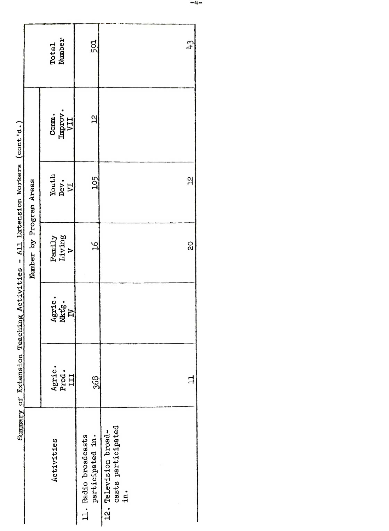|                         | Total<br>Number                       | 501                                      | 43                                                 |
|-------------------------|---------------------------------------|------------------------------------------|----------------------------------------------------|
|                         | $\frac{\text{Comm.}}{\text{Improv.}}$ | $\overline{a}$                           |                                                    |
|                         | $\frac{\text{Youth}}{\text{Pev}}$     | 105                                      | $\overline{a}$                                     |
| Number by Program Areas | Family<br>Living<br>V                 | $\frac{6}{1}$                            | Q<br>Q                                             |
| סייבניט בי              | Agric.<br>Mktg.<br>IV                 |                                          |                                                    |
| $\sum_{i=1}^{n}$        | Agric.<br>Prod.<br>III                | 368                                      | 11                                                 |
|                         | Activities                            | 11. Radio broadcasts<br>participated in. | casts participated<br>12. Television broad-<br>in. |

Summary of Extension Teaching Activities - All Extension Workers (cont'd.)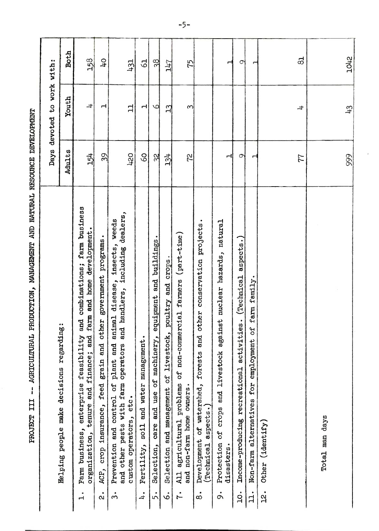| ĺ                                                                                                                                                                                                                              |
|--------------------------------------------------------------------------------------------------------------------------------------------------------------------------------------------------------------------------------|
|                                                                                                                                                                                                                                |
|                                                                                                                                                                                                                                |
|                                                                                                                                                                                                                                |
|                                                                                                                                                                                                                                |
|                                                                                                                                                                                                                                |
| in the statement of the contract of the contract of the contract of the contract of the contract of the contract of the contract of the contract of the contract of the contract of the contract of the contract of the contra |
| ĺ<br>$\mathbf{I}$<br> <br> <br>                                                                                                                                                                                                |

|                                                                                                                                                                                                           | Days            | to work with:<br>devoted |                |     |
|-----------------------------------------------------------------------------------------------------------------------------------------------------------------------------------------------------------|-----------------|--------------------------|----------------|-----|
| Helping people make decisions regarding                                                                                                                                                                   | Adults          | Youth                    | <b>Both</b>    |     |
| farm business<br>and home development.<br>combinations;<br>farm<br>and<br>enterprise feasibility<br>and finance; and<br>Farm business, encer-<br>$\dot{1}$                                                | 154             | $\pm$                    | 158            |     |
| government programs.<br>grain and other<br>feed<br>crop insurance,<br>ACP,<br>$\ddot{\text{o}}$                                                                                                           | $\overline{39}$ | H                        | $\overline{a}$ |     |
| handlers, including dealers,<br>weeds<br>insects,<br>disease,<br>animal<br>and<br>and<br>other pests with farm operators<br>Prevention and control of plant<br>custom operators, etc.<br>and<br>$\dot{3}$ | 420             | 님                        | 431            |     |
| Fertility, soil and water management.<br>$\ddot{ }$                                                                                                                                                       | 8               | Н                        | $\mathbb{S}$   |     |
| Selection, care and use of machinery, equipment and buildings<br>5.                                                                                                                                       | 32              | 5                        | 38             |     |
| Selection and management of livestock, poultry and crops<br>ةُ                                                                                                                                            | 134             | $\overline{13}$          | <b>71+7</b>    |     |
| agricultural problems of non-commercial farmers (part-time)<br>and non-farm home owners.<br>A11<br>ŕ.                                                                                                     | 72              | S                        | 75             | ーンー |
| conservation projects<br>and other<br>Development of watershed, forests<br>a <sub>spec</sub> ts.<br>(Technical<br>$\dot{\infty}$                                                                          |                 |                          |                |     |
| natural<br>and livestock against nuclear hazards,<br>Protection of crops<br>disasters.<br>$\dot{\circ}$                                                                                                   | ᆏ               |                          | $\blacksquare$ |     |
| aspects.)<br>(Technical<br>activities.<br>Income-producing recreational<br>$\dot{c}$                                                                                                                      | $\circ$         |                          | $\circ$        |     |
| farm family.<br>Non-farm alternatives for employment of<br>$\ddot{1}$ .                                                                                                                                   |                 |                          | ↤              |     |
| Other (identify)<br>.<br>મ                                                                                                                                                                                |                 |                          |                |     |
|                                                                                                                                                                                                           |                 |                          |                |     |
|                                                                                                                                                                                                           | 77              | ᅷ                        | 53             |     |
| Total man days                                                                                                                                                                                            |                 |                          |                |     |
|                                                                                                                                                                                                           | 999             | $\frac{43}{5}$           | 1042           |     |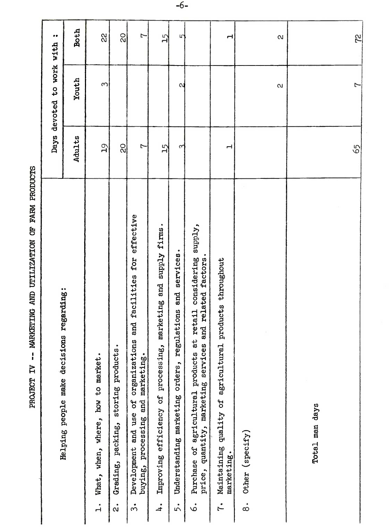| Ĩ                             |
|-------------------------------|
|                               |
| The same water is assumed and |
|                               |
|                               |
|                               |
|                               |
| i                             |

|                                                             | $\bullet\bullet$                         | <b>Both</b> | $\rm _{\rm \alpha}$                            | $\overline{20}$                                             | $\overline{1}$                                                                                                                  | 15                                                                                  | 5                                                                     |                                                                                                                                                          | $\mathbf{\mathbf{r}}$                                                                   |                                  | $\alpha$ |                | <b>Z</b>       |
|-------------------------------------------------------------|------------------------------------------|-------------|------------------------------------------------|-------------------------------------------------------------|---------------------------------------------------------------------------------------------------------------------------------|-------------------------------------------------------------------------------------|-----------------------------------------------------------------------|----------------------------------------------------------------------------------------------------------------------------------------------------------|-----------------------------------------------------------------------------------------|----------------------------------|----------|----------------|----------------|
|                                                             | devoted to work with                     | Youth       | $\infty$                                       |                                                             |                                                                                                                                 |                                                                                     | $\mathbf{\alpha}$                                                     |                                                                                                                                                          |                                                                                         |                                  | $\infty$ |                | $\overline{1}$ |
|                                                             | Days                                     | Adults      | $\overline{\mathsf{d}}$                        | $\frac{1}{2}$                                               | $\overline{1}$                                                                                                                  | $\overline{15}$                                                                     | $\sim$                                                                |                                                                                                                                                          | H                                                                                       |                                  |          |                | 65             |
| -- MARKETING AND UTILIZATION OF FARM PRODUCTS<br>PROJECT IV | Helping people make decisions regarding: |             | What, when, where, how to market.<br>$\vec{A}$ | storing products.<br>Grading, packing,<br>$\ddot{\text{a}}$ | effective<br>facilities for<br>and<br>organizations<br>buying, processing and marketing.<br>Development and use of<br>$\dot{3}$ | supply firms.<br>marketing and<br>Improving efficiency of processing,<br>$\ddot{ }$ | services.<br>and<br>Understanding marketing orders, regulations<br>5. | considering supply,<br>related factors.<br>retail<br>and<br>Purchase of agricultural products at<br>price, quantity, marketing services<br>$\dot{\circ}$ | products throughout<br>Maintaining quality of agricultural<br>marketing.<br>$\tilde{r}$ | Other (specify)<br>$\dot{\circ}$ |          | Total man days |                |

 $-6-$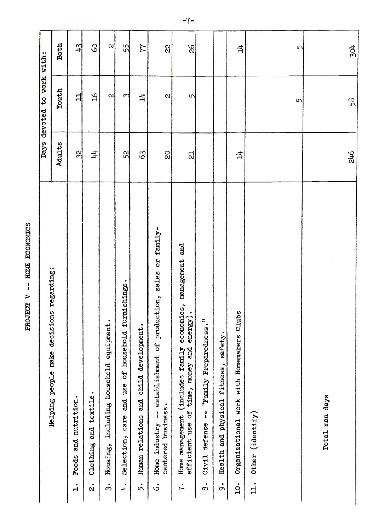| ì           |
|-------------|
| <b>COMP</b> |
| י<br>!      |
| ì           |
| J<br>í      |

| decisions regarding:                                                                                                   | Days           | devoted to work with: |               |
|------------------------------------------------------------------------------------------------------------------------|----------------|-----------------------|---------------|
| Helping people make                                                                                                    | Adults         | Youth                 | <b>Both</b>   |
| Foods and nutrition.<br>$\mathbf{r}$                                                                                   | 32             | 님                     | $\frac{1}{2}$ |
| $\bullet$<br>textile<br>and<br>Clothing<br>$\dot{\alpha}$                                                              | キ              | ρZ                    | $\infty$      |
| equipment.<br>including household<br>Housing,<br>٠<br>$\overline{m}$                                                   |                | 2                     | $\alpha$      |
| furnishings.<br>household<br><b>SP</b><br>use<br>and<br>care<br>Selection,<br>$\ddot{ }$                               | 52             | 3                     | 55            |
| development.<br>child<br>and<br>relations<br><b>Human</b><br>5.                                                        | S <sub>3</sub> | ᅻ                     | 77            |
| sales or family-<br>production,<br>establishment of<br>centered business.<br>ł<br>Home industry<br>$\dot{\circ}$       | $\overline{c}$ | $\alpha$              | 22            |
| economics, management and<br>energy).<br>time, money and<br>Home management (includes family<br>efficient use of<br>ŗ. | ದ              | 5                     | $\frac{9}{2}$ |
| $\frac{1}{12}$<br>'Family Preparednes<br>Ì<br>defense<br>Civil<br>$\bullet$<br>$\infty$                                |                |                       |               |
| safety.<br>fitness,<br>physical<br>and<br>Health<br>$\dot{\circ}$                                                      |                |                       |               |
| Clubs<br>Organizational work with Homemakers<br>$\dot{q}$                                                              | $\vec{p}$      |                       | 넉             |
| Other (identify<br>$\mathbf{L}$ .                                                                                      |                | 5                     | $\sqrt{2}$    |
| Total man days                                                                                                         | 246            | 58                    | 304           |

 $-7-$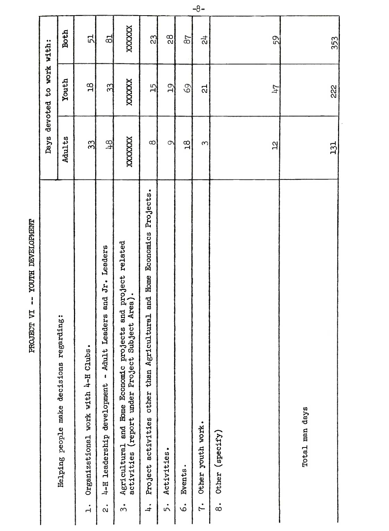|                                                 |                            | Both                                     | 51                                               | $\frac{1}{2}$                                                                             | XXXXXX                                                                                                                              | $\mathbb{C}$                                                                                 | $\frac{8}{2}$     | 78                       | $\vec{a}$                         | 59                               | 353            |  |
|-------------------------------------------------|----------------------------|------------------------------------------|--------------------------------------------------|-------------------------------------------------------------------------------------------|-------------------------------------------------------------------------------------------------------------------------------------|----------------------------------------------------------------------------------------------|-------------------|--------------------------|-----------------------------------|----------------------------------|----------------|--|
|                                                 | Days devoted to work with: | Youth                                    | $\frac{8}{10}$                                   | 33                                                                                        | XXXXXX                                                                                                                              | 겡                                                                                            | $\overline{5}$    | 69                       | $\overline{c}$                    | 147                              | 222            |  |
|                                                 |                            | Adults                                   | 33                                               | 48                                                                                        | XXXXXXX                                                                                                                             | $\infty$                                                                                     | $\infty$          | $\overline{a}$           | $\infty$                          | $\mathbf{a}$                     | 131            |  |
| YOUTH DEVELOPMENT<br>$\mathbf{I}$<br>PROJECT VI |                            | Helping people make decisions regarding: | Organizational work with 4-H Clubs.<br>$\dot{1}$ | Leaders<br>and Jr.<br>Leaders<br>4-H leadership development - Adult<br>$\dot{\mathbf{a}}$ | Agricultural and Home Economic projects and project related activities (report under Project Subject Area).<br>$\dot{\mathfrak{z}}$ | Projects.<br>tural and Home Economics<br>Project activities other than Agricul<br>$\ddot{+}$ | Activities.<br>5. | Events.<br>$\dot{\circ}$ | Other youth work.<br>$\ddot{r}$ . | Other (specify)<br>$\dot{\circ}$ | Total man days |  |

 $-8-$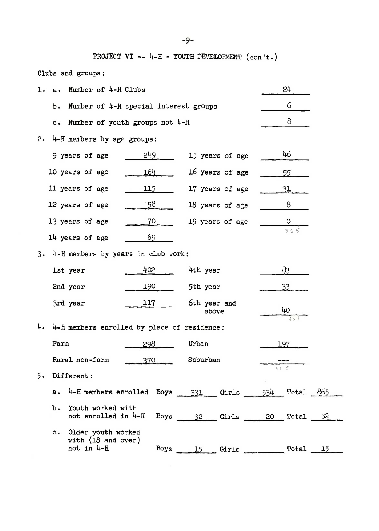PROJECT VI -- 4-H - YOUTH DEVELOPMENT  $(\text{con't.})$ 

Clubs and. groups:

| 1. | $a \cdot$ | Number of 4-H Clubs                                                     |     |      |              |                           |  | 24        |  |  |  |  |  |  |  |  |
|----|-----------|-------------------------------------------------------------------------|-----|------|--------------|---------------------------|--|-----------|--|--|--|--|--|--|--|--|
|    | b.        | Number of 4-H special interest groups                                   |     |      |              |                           |  | 6         |  |  |  |  |  |  |  |  |
|    | c.        | Number of youth groups not $4-H$                                        |     |      |              |                           |  | 8         |  |  |  |  |  |  |  |  |
| 2. |           | 4-H members by age groups:                                              |     |      |              |                           |  |           |  |  |  |  |  |  |  |  |
|    |           | 9 years of age                                                          | 249 |      |              | 15 years of age           |  | 46        |  |  |  |  |  |  |  |  |
|    |           | 10 years of age                                                         | 164 |      |              | 16 years of age           |  | 55        |  |  |  |  |  |  |  |  |
|    |           | 11 years of age                                                         | 115 |      |              | 17 years of age           |  | 31        |  |  |  |  |  |  |  |  |
|    |           | 12 years of age                                                         | -58 |      |              | 18 years of age           |  | 8         |  |  |  |  |  |  |  |  |
|    |           | 13 years of age                                                         | 70  |      |              | 19 years of age           |  | 0         |  |  |  |  |  |  |  |  |
|    |           | 14 years of age                                                         | 69  |      |              |                           |  | 865       |  |  |  |  |  |  |  |  |
| 3. |           |                                                                         |     |      |              |                           |  |           |  |  |  |  |  |  |  |  |
|    |           | 4-H members by years in club work:<br>402<br>83<br>4th year<br>1st year |     |      |              |                           |  |           |  |  |  |  |  |  |  |  |
|    |           | 2nd year                                                                | 190 |      | 5th year     |                           |  | 33        |  |  |  |  |  |  |  |  |
|    |           | 3rd year                                                                | 117 |      | 6th year and |                           |  |           |  |  |  |  |  |  |  |  |
|    |           |                                                                         |     |      |              | above                     |  | 40<br>865 |  |  |  |  |  |  |  |  |
| 4. |           | 4-H members enrolled by place of residence:                             |     |      |              |                           |  |           |  |  |  |  |  |  |  |  |
|    | Farm      |                                                                         | 298 |      | Urban        |                           |  | 197       |  |  |  |  |  |  |  |  |
|    |           | Rural non-farm                                                          | 370 |      | Suburban     |                           |  | 865       |  |  |  |  |  |  |  |  |
| 5. |           | Different:                                                              |     |      |              |                           |  |           |  |  |  |  |  |  |  |  |
|    |           | a. $4-H$ members enrolled Boys $331$ Girls $534$ Total $865$            |     |      |              |                           |  |           |  |  |  |  |  |  |  |  |
|    | $b \cdot$ | Youth worked with<br>not enrolled in 4-H                                |     |      |              | Boys 32 Girls 20 Total 52 |  |           |  |  |  |  |  |  |  |  |
|    | $c \cdot$ | Older youth worked<br>with $(18$ and over)<br>not in 4-H                |     | Boys |              | 15 Girls Total 15         |  |           |  |  |  |  |  |  |  |  |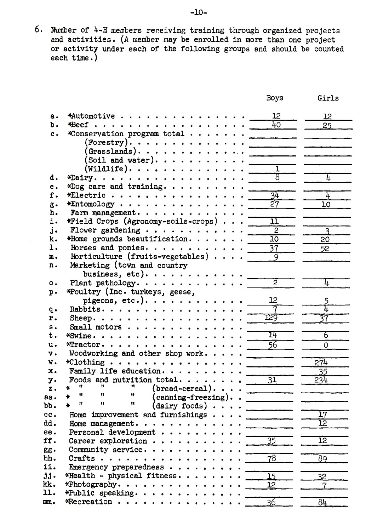6. Number of  $4-H$  members receiving training through organized projects and activities. (A member may be enrolled in more than one project<br>or activity under each of the following groups and should be counted each  $time.)$ 

|                 |                                                         | Boys                 | Girls           |
|-----------------|---------------------------------------------------------|----------------------|-----------------|
| а.              | *Automotive                                             | 12                   | 12              |
| ъ.              |                                                         | 40                   | 25              |
| $c$ .           | *Conservation program total                             |                      |                 |
|                 | $($ Forestry $)$ .                                      |                      |                 |
|                 | $(\mathtt{Grasslands})$ .                               |                      |                 |
|                 |                                                         | <u>and the state</u> |                 |
|                 | (Soil and water).                                       | $\overline{1}$       |                 |
|                 | $(\mathtt{Willdlife})\dots\dots\dots\dots\$             | $\overline{s}$       |                 |
| d.              | *Dairy.                                                 |                      | 4               |
| е.              | *Dog care and training. $\cdots$ .                      |                      |                 |
| f.              | *Electric $\cdots$                                      | $\overline{34}$      | 4               |
| g.              | $*$ Entomology                                          | 27                   | 10              |
| h.              | Farm management.                                        |                      |                 |
| i.              | *Field Crops (Agronomy-soils-crops)                     | ıī                   |                 |
| j.              | Flower gardening                                        | $\overline{2}$       | 3               |
| k.              | *Home grounds beautification.                           | 10                   | 20              |
| ı.              | Horses and ponies.                                      | $\overline{37}$      | 52              |
| m.              | Horticulture (fruits-vegetables)                        | 9                    |                 |
| n.              | Marketing (town and country                             |                      |                 |
|                 | business, etc). $\cdots$ .                              |                      |                 |
| $\circ$ .       | Plant pathology. $\cdots$ .                             | 2                    | 4               |
| $p$ .           | *Poultry (Inc. turkeys, geese,                          |                      |                 |
|                 | pigeons, etc.).                                         | 12                   |                 |
| q.              | Rabbits.                                                | 7                    | <u>հ</u>        |
| r.              | Sheep.                                                  | 129                  | 37              |
| s.              | Small motors $\cdots$                                   |                      |                 |
| t.              |                                                         | I4                   | 6               |
| u.              | $*$ Tractor.                                            | $\overline{56}$      | 0               |
| v.              | Woodworking and other shop work.                        |                      |                 |
| w.              | $*C$ lothing                                            |                      | 274             |
| $\mathbf{x}$ .  | Family life education.                                  |                      | 35              |
| y.              | Foods and nutrition total<br>n<br>11                    | $\overline{31}$      | 234             |
| z.              | $(bread-cereal)$ .<br>∗<br>Ħ<br>11<br>"                 |                      |                 |
| aa.             | $(\text{canning-freezing}).$ .<br>∗<br>11<br>Ħ<br>Ħ     |                      |                 |
| bb.             | $(dairy \text{ foods}) \cdot \cdot \cdot$<br>¥          |                      |                 |
| cc.             | Home improvement and furnishings                        |                      | $\overline{17}$ |
| dd.             | Home management.                                        |                      | $\overline{12}$ |
| ee.             | Personal development                                    |                      |                 |
| ff.             | Career exploration $\cdots$ .                           | 35                   | 12              |
| gg.             | Community service.                                      |                      |                 |
| hh.             | Crafts.<br>.                                            | $\overline{78}$      | 89              |
| ii.             | Emergency preparedness $\cdots$                         |                      |                 |
| $jj -$          | *Health - physical fitness                              | $\overline{15}$      | 32              |
| kk.             | *Photography.                                           | 12                   | 7               |
| 11.             | *Public speaking.                                       |                      |                 |
| mm <sub>•</sub> | $*Recreation \cdot \cdot \cdot \cdot \cdot \cdot \cdot$ | 36                   | 84              |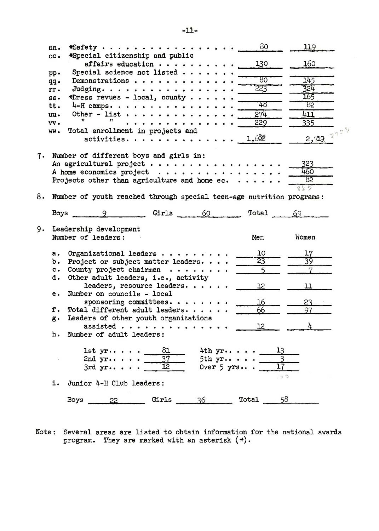|    | nn.           | *Safety                                                                             | 80          | 119               |
|----|---------------|-------------------------------------------------------------------------------------|-------------|-------------------|
|    | 00.           | *Special citizenship and public<br>affairs education $\cdots$ ,                     | 130         | 160               |
|    | pp.           | Special science not listed $\cdots$                                                 |             |                   |
|    | qq.           | Demonstrations                                                                      | ४०          | 145               |
|    | rr.           | Judging.                                                                            | 223         | 324               |
|    | $SS -$        | *Dress revues - local, county                                                       |             | 165               |
|    | tt.           | $4-H$ camps.                                                                        | 48          | 82                |
|    | uu.           | Other - list $\cdots$<br>11                                                         | 274         | 411               |
|    | vv.           | .<br>Total enrollment in projects and                                               | 229         | <u>335 </u>       |
|    | ww.           | activities.                                                                         | 1,682       | $2,719$ , $212^2$ |
| 7. |               | Number of different boys and girls in:                                              |             |                   |
|    |               | An agricultural project                                                             |             | 323<br>460        |
|    |               | A home economics project<br>Projects other than agriculture and home $ec. \ldots$ . |             | 82                |
|    |               |                                                                                     |             | 865               |
| 8. |               | Number of youth reached through special teen-age nutrition programs:                |             |                   |
|    | Boys          | <b>Girls</b><br>60<br>$\mathsf{Q}$                                                  | Total       | 69                |
| 9. |               | Leadership development<br>Number of leaders:                                        |             |                   |
|    |               |                                                                                     | Men         | Women             |
|    | $a_{\bullet}$ | Organizational leaders $\cdots$ $\cdots$ $\cdots$                                   | 10          | 17                |
|    | b.            | Project or subject matter leaders                                                   | 23          | 39                |
|    | $c_{\bullet}$ | County project chairmen $\cdots$                                                    | $\sqrt{2}$  |                   |
|    | d.            | Other adult leaders, i.e., activity<br>leaders, resource leaders.                   | 12          | 11                |
|    | е.            | Number on councils - local                                                          |             |                   |
|    |               | sponsoring committees.                                                              | 16          | 23                |
|    | f.            | Total different adult leaders                                                       | 66          | 97                |
|    | g.            | Leaders of other youth organizations                                                |             |                   |
|    |               | assisted<br>Number of adult leaders:                                                | 12          | 4                 |
|    | h.            |                                                                                     |             |                   |
|    |               | 81<br>$4th yr \cdot \cdot \cdot \cdot$<br>$1st$ yr                                  |             |                   |
|    |               | 2nd $yr \dots$<br>5th $yr \cdot $                                                   |             |                   |
|    |               | 12<br>Over $5$ yrs<br>$3rdyr$                                                       | 17          |                   |
|    |               | i. Junior 4-H Club leaders:                                                         | 163         |                   |
|    |               | Girls $36$<br>$Boys$ 22                                                             | 58<br>Total |                   |
|    |               |                                                                                     |             |                   |

Note: Several areas are listed to obtain information for the national awards program. They are marked with an asterisk (\*).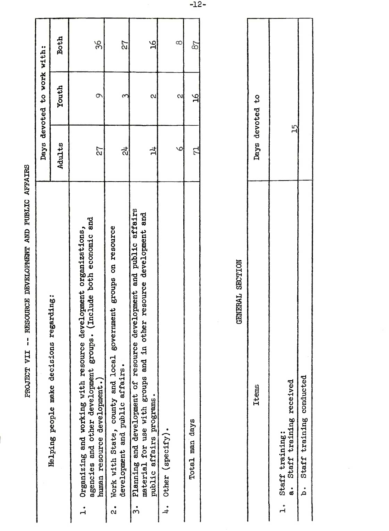| RESOURCE DEVELOPMENT AND PUBLIC AFFAIRS<br>$\mathbf{I}$<br>PROJECT VII                                                                                                                        |                                      |   |                |
|-----------------------------------------------------------------------------------------------------------------------------------------------------------------------------------------------|--------------------------------------|---|----------------|
|                                                                                                                                                                                               | devoted to work with:<br>Days        |   |                |
| regarding:<br>Helping people make decisions                                                                                                                                                   | Youth<br>Adults                      |   | <b>Both</b>    |
| (Include both economic and<br>organizations,<br>development<br>eroups.<br>Organizing and working with resource<br>agencies and other development<br>human resource development.)<br>$\dot{1}$ | 72                                   | 9 | 36             |
| government groups on resource<br>Work with State, county and local<br>development and public affairs.<br>$\dot{\mathbf{c}}$                                                                   | $\mathfrak{g}$<br>᠗                  |   | 27             |
| affairs<br>other resource development and<br>development and public<br>Planning and development of resource<br>material for use with groups and in o<br>public affairs programs.<br>$\dot{5}$ | $\mathbf{a}$<br>킈                    |   | $\mathfrak{A}$ |
| Other (specify).<br>$\ddot{ }$                                                                                                                                                                | $\sim$<br>$\circ$                    |   | $\infty$       |
| Total man days                                                                                                                                                                                | $\frac{\partial f}{\partial x}$<br>더 |   | 87             |
|                                                                                                                                                                                               |                                      |   |                |
| <b>GENERAL SECTION</b>                                                                                                                                                                        |                                      |   |                |
| <b>Items</b>                                                                                                                                                                                  | ٥Ļ<br>devoted<br>Days                |   |                |
| received<br>training<br>Staff training:<br>Staff<br>$\ddot{\mathbf{a}}$<br>$\mathbf{H}$                                                                                                       | 15                                   |   |                |
| conducted<br>training<br>Staff<br>.<br>م                                                                                                                                                      |                                      |   |                |
|                                                                                                                                                                                               |                                      |   |                |

| Days devoted to |                                                  |                             |  |
|-----------------|--------------------------------------------------|-----------------------------|--|
| <b>Items</b>    | a. Staff training received<br>1. Staff training: | b. Staff training conducted |  |

 $-12-$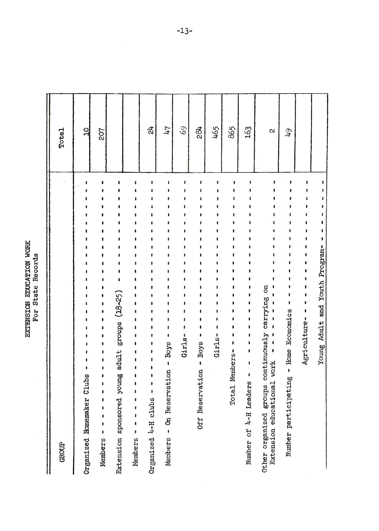EXTENSION EDUCATION WORK<br>For State Records

| <b>Total</b>             | $\overline{a}$ | 207 |                            |                                                | $\vec{z}$ | 74          | 69 | $\frac{31}{2}$                              | 465    | 865            | 163 | $\mathbf{\Omega}$                                                                                      | $\overline{61}$                          |                                                                                                                                           |
|--------------------------|----------------|-----|----------------------------|------------------------------------------------|-----------|-------------|----|---------------------------------------------|--------|----------------|-----|--------------------------------------------------------------------------------------------------------|------------------------------------------|-------------------------------------------------------------------------------------------------------------------------------------------|
|                          | Clubs          | 1   | young adult groups (18-25) | ı<br>$\bullet$<br>$\mathbf{I}$<br>$\mathbf{I}$ |           | <b>Byce</b> |    | <b>Boys</b><br>ı<br>rvation<br>Rese:<br>Off | Girls- | Total Members- | ı   | Other organized groups continuously carrying on<br>Extension educational work<br>Number of 4-H Leaders | - Home Economics<br>Number participating | Members - On Reservation -<br>Organized Homemaker<br>Extension sponsored<br>Organized 4-H clubs<br>J.<br>1<br>Members<br>Members<br>GROUP |
| Agriculture-<br>$Girls-$ |                |     |                            |                                                |           |             |    |                                             |        |                |     |                                                                                                        |                                          |                                                                                                                                           |